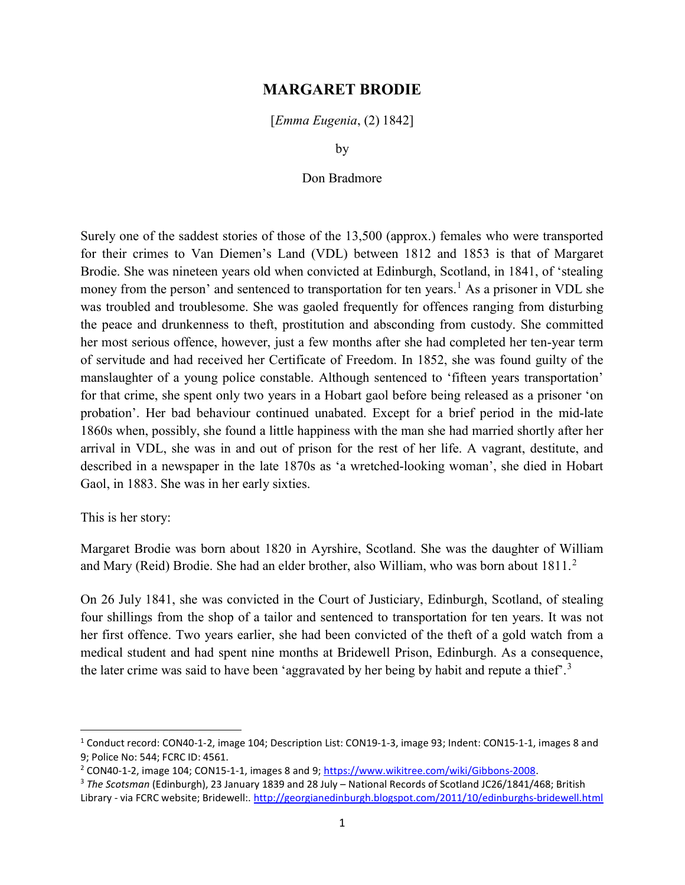## MARGARET BRODIE

[Emma Eugenia, (2) 1842]

by

## Don Bradmore

Surely one of the saddest stories of those of the 13,500 (approx.) females who were transported for their crimes to Van Diemen's Land (VDL) between 1812 and 1853 is that of Margaret Brodie. She was nineteen years old when convicted at Edinburgh, Scotland, in 1841, of 'stealing money from the person' and sentenced to transportation for ten years.<sup>1</sup> As a prisoner in VDL she was troubled and troublesome. She was gaoled frequently for offences ranging from disturbing the peace and drunkenness to theft, prostitution and absconding from custody. She committed her most serious offence, however, just a few months after she had completed her ten-year term of servitude and had received her Certificate of Freedom. In 1852, she was found guilty of the manslaughter of a young police constable. Although sentenced to 'fifteen years transportation' for that crime, she spent only two years in a Hobart gaol before being released as a prisoner 'on probation'. Her bad behaviour continued unabated. Except for a brief period in the mid-late 1860s when, possibly, she found a little happiness with the man she had married shortly after her arrival in VDL, she was in and out of prison for the rest of her life. A vagrant, destitute, and described in a newspaper in the late 1870s as 'a wretched-looking woman', she died in Hobart Gaol, in 1883. She was in her early sixties.

This is her story:

 $\overline{a}$ 

Margaret Brodie was born about 1820 in Ayrshire, Scotland. She was the daughter of William and Mary (Reid) Brodie. She had an elder brother, also William, who was born about  $1811.^2$ 

On 26 July 1841, she was convicted in the Court of Justiciary, Edinburgh, Scotland, of stealing four shillings from the shop of a tailor and sentenced to transportation for ten years. It was not her first offence. Two years earlier, she had been convicted of the theft of a gold watch from a medical student and had spent nine months at Bridewell Prison, Edinburgh. As a consequence, the later crime was said to have been 'aggravated by her being by habit and repute a thief'.<sup>3</sup>

<sup>&</sup>lt;sup>1</sup> Conduct record: CON40-1-2, image 104; Description List: CON19-1-3, image 93; Indent: CON15-1-1, images 8 and 9; Police No: 544; FCRC ID: 4561.

<sup>&</sup>lt;sup>2</sup> CON40-1-2, image 104; CON15-1-1, images 8 and 9; https://www.wikitree.com/wiki/Gibbons-2008.

<sup>&</sup>lt;sup>3</sup> The Scotsman (Edinburgh), 23 January 1839 and 28 July – National Records of Scotland JC26/1841/468; British Library - via FCRC website; Bridewell:. http://georgianedinburgh.blogspot.com/2011/10/edinburghs-bridewell.html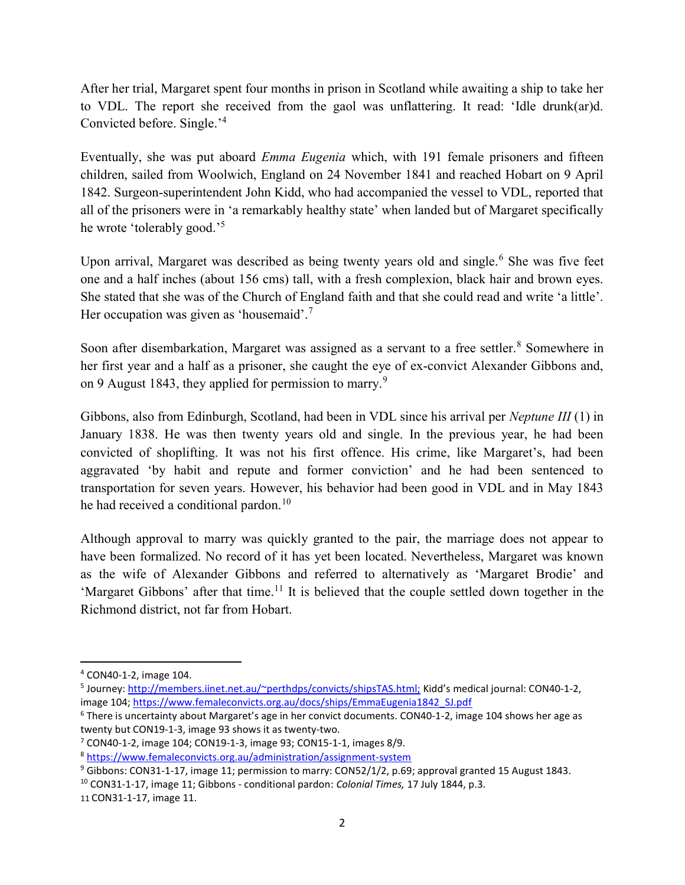After her trial, Margaret spent four months in prison in Scotland while awaiting a ship to take her to VDL. The report she received from the gaol was unflattering. It read: 'Idle drunk(ar)d. Convicted before. Single.'<sup>4</sup>

Eventually, she was put aboard *Emma Eugenia* which, with 191 female prisoners and fifteen children, sailed from Woolwich, England on 24 November 1841 and reached Hobart on 9 April 1842. Surgeon-superintendent John Kidd, who had accompanied the vessel to VDL, reported that all of the prisoners were in 'a remarkably healthy state' when landed but of Margaret specifically he wrote 'tolerably good.'<sup>5</sup>

Upon arrival, Margaret was described as being twenty years old and single.<sup>6</sup> She was five feet one and a half inches (about 156 cms) tall, with a fresh complexion, black hair and brown eyes. She stated that she was of the Church of England faith and that she could read and write 'a little'. Her occupation was given as 'housemaid'. $7$ 

Soon after disembarkation, Margaret was assigned as a servant to a free settler.<sup>8</sup> Somewhere in her first year and a half as a prisoner, she caught the eye of ex-convict Alexander Gibbons and, on 9 August 1843, they applied for permission to marry.<sup>9</sup>

Gibbons, also from Edinburgh, Scotland, had been in VDL since his arrival per Neptune III (1) in January 1838. He was then twenty years old and single. In the previous year, he had been convicted of shoplifting. It was not his first offence. His crime, like Margaret's, had been aggravated 'by habit and repute and former conviction' and he had been sentenced to transportation for seven years. However, his behavior had been good in VDL and in May 1843 he had received a conditional pardon.<sup>10</sup>

Although approval to marry was quickly granted to the pair, the marriage does not appear to have been formalized. No record of it has yet been located. Nevertheless, Margaret was known as the wife of Alexander Gibbons and referred to alternatively as 'Margaret Brodie' and 'Margaret Gibbons' after that time.<sup>11</sup> It is believed that the couple settled down together in the Richmond district, not far from Hobart.

<sup>4</sup> CON40-1-2, image 104.

<sup>&</sup>lt;sup>5</sup> Journey: http://members.iinet.net.au/~perthdps/convicts/shipsTAS.html; Kidd's medical journal: CON40-1-2, image 104; https://www.femaleconvicts.org.au/docs/ships/EmmaEugenia1842\_SJ.pdf

<sup>&</sup>lt;sup>6</sup> There is uncertainty about Margaret's age in her convict documents. CON40-1-2, image 104 shows her age as twenty but CON19-1-3, image 93 shows it as twenty-two.

<sup>7</sup> CON40-1-2, image 104; CON19-1-3, image 93; CON15-1-1, images 8/9.

<sup>8</sup> https://www.femaleconvicts.org.au/administration/assignment-system

<sup>&</sup>lt;sup>9</sup> Gibbons: CON31-1-17, image 11; permission to marry: CON52/1/2, p.69; approval granted 15 August 1843.

<sup>&</sup>lt;sup>10</sup> CON31-1-17, image 11; Gibbons - conditional pardon: *Colonial Times*, 17 July 1844, p.3.

<sup>11</sup> CON31-1-17, image 11.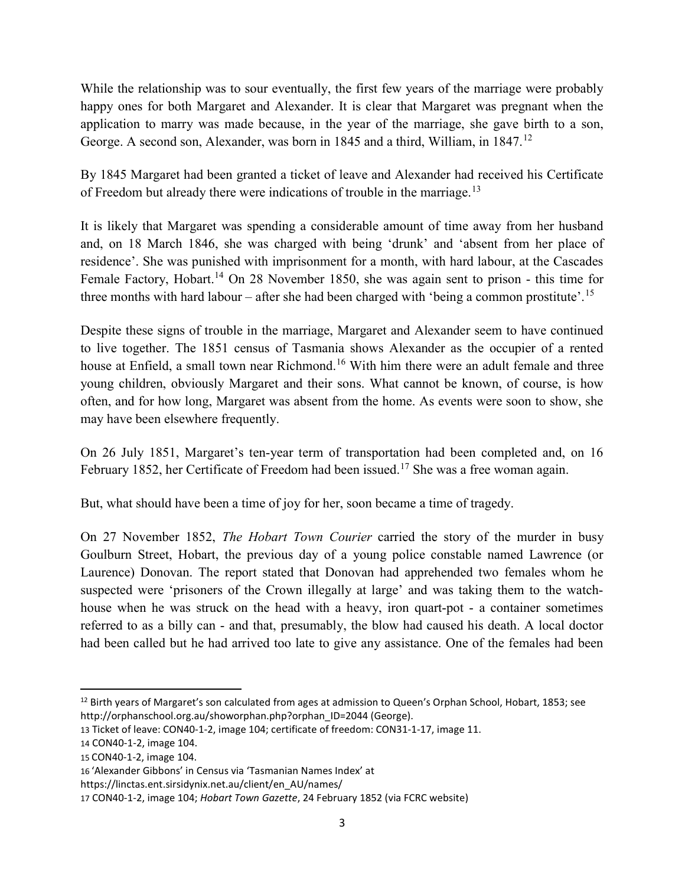While the relationship was to sour eventually, the first few years of the marriage were probably happy ones for both Margaret and Alexander. It is clear that Margaret was pregnant when the application to marry was made because, in the year of the marriage, she gave birth to a son, George. A second son, Alexander, was born in 1845 and a third, William, in 1847.<sup>12</sup>

By 1845 Margaret had been granted a ticket of leave and Alexander had received his Certificate of Freedom but already there were indications of trouble in the marriage.<sup>13</sup>

It is likely that Margaret was spending a considerable amount of time away from her husband and, on 18 March 1846, she was charged with being 'drunk' and 'absent from her place of residence'. She was punished with imprisonment for a month, with hard labour, at the Cascades Female Factory, Hobart.<sup>14</sup> On 28 November 1850, she was again sent to prison - this time for three months with hard labour – after she had been charged with 'being a common prostitute'.<sup>15</sup>

Despite these signs of trouble in the marriage, Margaret and Alexander seem to have continued to live together. The 1851 census of Tasmania shows Alexander as the occupier of a rented house at Enfield, a small town near Richmond.<sup>16</sup> With him there were an adult female and three young children, obviously Margaret and their sons. What cannot be known, of course, is how often, and for how long, Margaret was absent from the home. As events were soon to show, she may have been elsewhere frequently.

On 26 July 1851, Margaret's ten-year term of transportation had been completed and, on 16 February 1852, her Certificate of Freedom had been issued.<sup>17</sup> She was a free woman again.

But, what should have been a time of joy for her, soon became a time of tragedy.

On 27 November 1852, The Hobart Town Courier carried the story of the murder in busy Goulburn Street, Hobart, the previous day of a young police constable named Lawrence (or Laurence) Donovan. The report stated that Donovan had apprehended two females whom he suspected were 'prisoners of the Crown illegally at large' and was taking them to the watchhouse when he was struck on the head with a heavy, iron quart-pot - a container sometimes referred to as a billy can - and that, presumably, the blow had caused his death. A local doctor had been called but he had arrived too late to give any assistance. One of the females had been

 <sup>12</sup> Birth years of Margaret's son calculated from ages at admission to Queen's Orphan School, Hobart, 1853; see http://orphanschool.org.au/showorphan.php?orphan\_ID=2044 (George).

<sup>13</sup> Ticket of leave: CON40-1-2, image 104; certificate of freedom: CON31-1-17, image 11.

<sup>14</sup> CON40-1-2, image 104.

<sup>15</sup> CON40-1-2, image 104.

<sup>16</sup> 'Alexander Gibbons' in Census via 'Tasmanian Names Index' at

https://linctas.ent.sirsidynix.net.au/client/en\_AU/names/

<sup>17</sup> CON40-1-2, image 104; Hobart Town Gazette, 24 February 1852 (via FCRC website)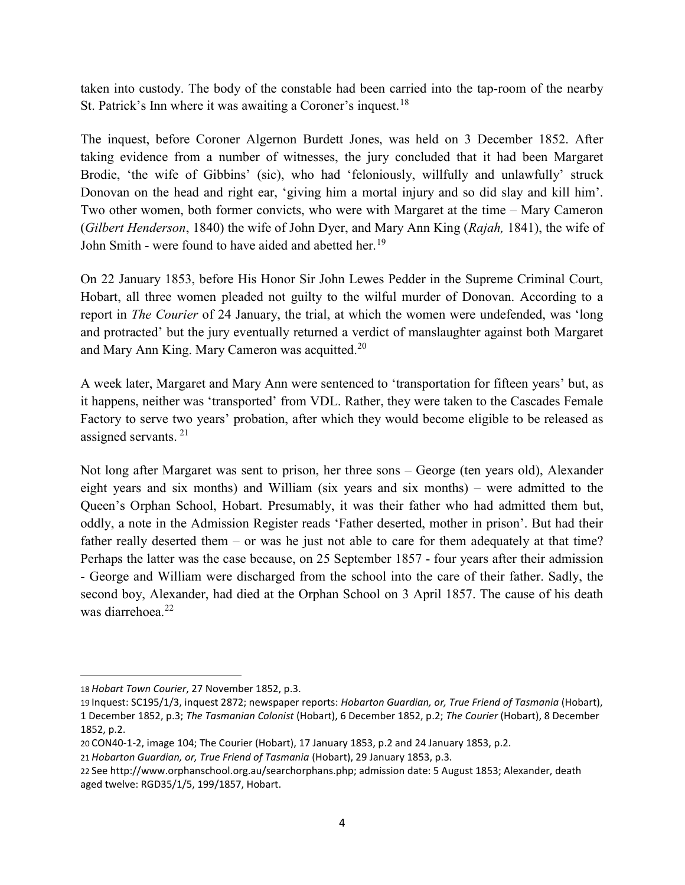taken into custody. The body of the constable had been carried into the tap-room of the nearby St. Patrick's Inn where it was awaiting a Coroner's inquest.<sup>18</sup>

The inquest, before Coroner Algernon Burdett Jones, was held on 3 December 1852. After taking evidence from a number of witnesses, the jury concluded that it had been Margaret Brodie, 'the wife of Gibbins' (sic), who had 'feloniously, willfully and unlawfully' struck Donovan on the head and right ear, 'giving him a mortal injury and so did slay and kill him'. Two other women, both former convicts, who were with Margaret at the time – Mary Cameron (Gilbert Henderson, 1840) the wife of John Dyer, and Mary Ann King (Rajah, 1841), the wife of John Smith - were found to have aided and abetted her.<sup>19</sup>

On 22 January 1853, before His Honor Sir John Lewes Pedder in the Supreme Criminal Court, Hobart, all three women pleaded not guilty to the wilful murder of Donovan. According to a report in The Courier of 24 January, the trial, at which the women were undefended, was 'long and protracted' but the jury eventually returned a verdict of manslaughter against both Margaret and Mary Ann King. Mary Cameron was acquitted.<sup>20</sup>

A week later, Margaret and Mary Ann were sentenced to 'transportation for fifteen years' but, as it happens, neither was 'transported' from VDL. Rather, they were taken to the Cascades Female Factory to serve two years' probation, after which they would become eligible to be released as assigned servants.<sup>21</sup>

Not long after Margaret was sent to prison, her three sons – George (ten years old), Alexander eight years and six months) and William (six years and six months) – were admitted to the Queen's Orphan School, Hobart. Presumably, it was their father who had admitted them but, oddly, a note in the Admission Register reads 'Father deserted, mother in prison'. But had their father really deserted them – or was he just not able to care for them adequately at that time? Perhaps the latter was the case because, on 25 September 1857 - four years after their admission - George and William were discharged from the school into the care of their father. Sadly, the second boy, Alexander, had died at the Orphan School on 3 April 1857. The cause of his death was diarrehoea.<sup>22</sup>

 $\overline{a}$ 

<sup>18</sup> Hobart Town Courier, 27 November 1852, p.3.

<sup>19</sup> Inquest: SC195/1/3, inquest 2872; newspaper reports: Hobarton Guardian, or, True Friend of Tasmania (Hobart), 1 December 1852, p.3; The Tasmanian Colonist (Hobart), 6 December 1852, p.2; The Courier (Hobart), 8 December 1852, p.2.

<sup>20</sup> CON40-1-2, image 104; The Courier (Hobart), 17 January 1853, p.2 and 24 January 1853, p.2.

<sup>21</sup> Hobarton Guardian, or, True Friend of Tasmania (Hobart), 29 January 1853, p.3.

<sup>22</sup> See http://www.orphanschool.org.au/searchorphans.php; admission date: 5 August 1853; Alexander, death aged twelve: RGD35/1/5, 199/1857, Hobart.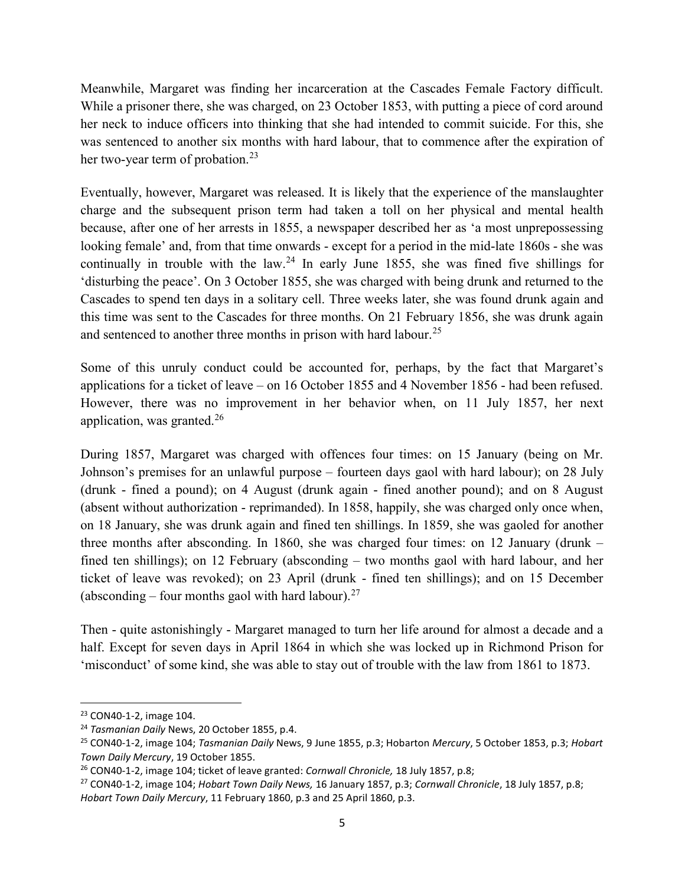Meanwhile, Margaret was finding her incarceration at the Cascades Female Factory difficult. While a prisoner there, she was charged, on 23 October 1853, with putting a piece of cord around her neck to induce officers into thinking that she had intended to commit suicide. For this, she was sentenced to another six months with hard labour, that to commence after the expiration of her two-year term of probation.<sup>23</sup>

Eventually, however, Margaret was released. It is likely that the experience of the manslaughter charge and the subsequent prison term had taken a toll on her physical and mental health because, after one of her arrests in 1855, a newspaper described her as 'a most unprepossessing looking female' and, from that time onwards - except for a period in the mid-late 1860s - she was continually in trouble with the law.<sup>24</sup> In early June 1855, she was fined five shillings for 'disturbing the peace'. On 3 October 1855, she was charged with being drunk and returned to the Cascades to spend ten days in a solitary cell. Three weeks later, she was found drunk again and this time was sent to the Cascades for three months. On 21 February 1856, she was drunk again and sentenced to another three months in prison with hard labour.<sup>25</sup>

Some of this unruly conduct could be accounted for, perhaps, by the fact that Margaret's applications for a ticket of leave – on 16 October 1855 and 4 November 1856 - had been refused. However, there was no improvement in her behavior when, on 11 July 1857, her next application, was granted.<sup>26</sup>

During 1857, Margaret was charged with offences four times: on 15 January (being on Mr. Johnson's premises for an unlawful purpose – fourteen days gaol with hard labour); on 28 July (drunk - fined a pound); on 4 August (drunk again - fined another pound); and on 8 August (absent without authorization - reprimanded). In 1858, happily, she was charged only once when, on 18 January, she was drunk again and fined ten shillings. In 1859, she was gaoled for another three months after absconding. In 1860, she was charged four times: on 12 January (drunk – fined ten shillings); on 12 February (absconding – two months gaol with hard labour, and her ticket of leave was revoked); on 23 April (drunk - fined ten shillings); and on 15 December (absconding – four months gaol with hard labour).<sup>27</sup>

Then - quite astonishingly - Margaret managed to turn her life around for almost a decade and a half. Except for seven days in April 1864 in which she was locked up in Richmond Prison for 'misconduct' of some kind, she was able to stay out of trouble with the law from 1861 to 1873.

 $\overline{a}$ 

<sup>23</sup> CON40-1-2, image 104.

<sup>&</sup>lt;sup>24</sup> Tasmanian Daily News, 20 October 1855, p.4.

<sup>&</sup>lt;sup>25</sup> CON40-1-2, image 104; Tasmanian Daily News, 9 June 1855, p.3; Hobarton Mercury, 5 October 1853, p.3; Hobart Town Daily Mercury, 19 October 1855.

 $26$  CON40-1-2, image 104; ticket of leave granted: Cornwall Chronicle, 18 July 1857, p.8;

<sup>&</sup>lt;sup>27</sup> CON40-1-2, image 104; Hobart Town Daily News, 16 January 1857, p.3; Cornwall Chronicle, 18 July 1857, p.8; Hobart Town Daily Mercury, 11 February 1860, p.3 and 25 April 1860, p.3.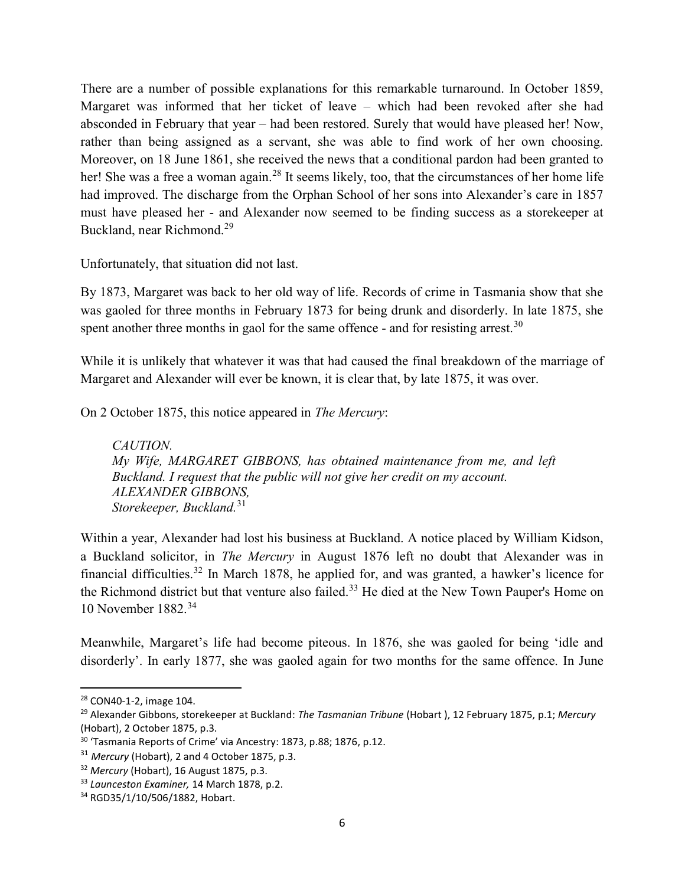There are a number of possible explanations for this remarkable turnaround. In October 1859, Margaret was informed that her ticket of leave – which had been revoked after she had absconded in February that year – had been restored. Surely that would have pleased her! Now, rather than being assigned as a servant, she was able to find work of her own choosing. Moreover, on 18 June 1861, she received the news that a conditional pardon had been granted to her! She was a free a woman again.<sup>28</sup> It seems likely, too, that the circumstances of her home life had improved. The discharge from the Orphan School of her sons into Alexander's care in 1857 must have pleased her - and Alexander now seemed to be finding success as a storekeeper at Buckland, near Richmond.<sup>29</sup>

Unfortunately, that situation did not last.

By 1873, Margaret was back to her old way of life. Records of crime in Tasmania show that she was gaoled for three months in February 1873 for being drunk and disorderly. In late 1875, she spent another three months in gaol for the same offence - and for resisting arrest.<sup>30</sup>

While it is unlikely that whatever it was that had caused the final breakdown of the marriage of Margaret and Alexander will ever be known, it is clear that, by late 1875, it was over.

On 2 October 1875, this notice appeared in The Mercury:

CAUTION. My Wife, MARGARET GIBBONS, has obtained maintenance from me, and left Buckland. I request that the public will not give her credit on my account. ALEXANDER GIBBONS, Storekeeper, Buckland.<sup>31</sup>

Within a year, Alexander had lost his business at Buckland. A notice placed by William Kidson, a Buckland solicitor, in The Mercury in August 1876 left no doubt that Alexander was in financial difficulties.<sup>32</sup> In March 1878, he applied for, and was granted, a hawker's licence for the Richmond district but that venture also failed.<sup>33</sup> He died at the New Town Pauper's Home on 10 November 1882.<sup>34</sup>

Meanwhile, Margaret's life had become piteous. In 1876, she was gaoled for being 'idle and disorderly'. In early 1877, she was gaoled again for two months for the same offence. In June

<sup>28</sup> CON40-1-2, image 104.

<sup>&</sup>lt;sup>29</sup> Alexander Gibbons, storekeeper at Buckland: The Tasmanian Tribune (Hobart), 12 February 1875, p.1; Mercury (Hobart), 2 October 1875, p.3.

<sup>&</sup>lt;sup>30</sup> 'Tasmania Reports of Crime' via Ancestry: 1873, p.88; 1876, p.12.

<sup>&</sup>lt;sup>31</sup> Mercury (Hobart), 2 and 4 October 1875, p.3.

<sup>&</sup>lt;sup>32</sup> Mercury (Hobart), 16 August 1875, p.3.

<sup>&</sup>lt;sup>33</sup> Launceston Examiner, 14 March 1878, p.2.

<sup>34</sup> RGD35/1/10/506/1882, Hobart.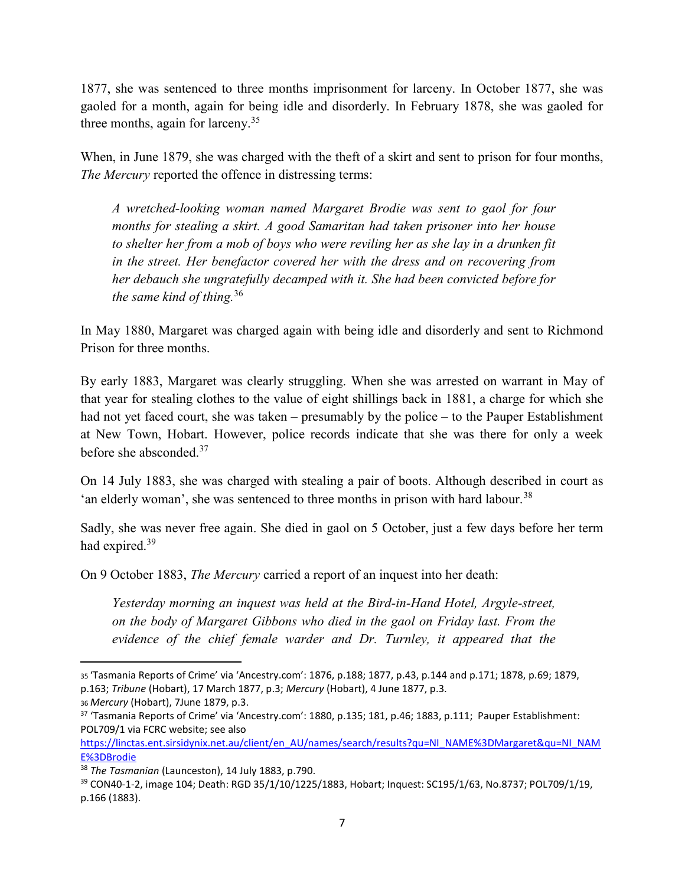1877, she was sentenced to three months imprisonment for larceny. In October 1877, she was gaoled for a month, again for being idle and disorderly. In February 1878, she was gaoled for three months, again for larceny.<sup>35</sup>

When, in June 1879, she was charged with the theft of a skirt and sent to prison for four months, The Mercury reported the offence in distressing terms:

A wretched-looking woman named Margaret Brodie was sent to gaol for four months for stealing a skirt. A good Samaritan had taken prisoner into her house to shelter her from a mob of boys who were reviling her as she lay in a drunken fit in the street. Her benefactor covered her with the dress and on recovering from her debauch she ungratefully decamped with it. She had been convicted before for the same kind of thing.<sup>36</sup>

In May 1880, Margaret was charged again with being idle and disorderly and sent to Richmond Prison for three months.

By early 1883, Margaret was clearly struggling. When she was arrested on warrant in May of that year for stealing clothes to the value of eight shillings back in 1881, a charge for which she had not yet faced court, she was taken – presumably by the police – to the Pauper Establishment at New Town, Hobart. However, police records indicate that she was there for only a week before she absconded.<sup>37</sup>

On 14 July 1883, she was charged with stealing a pair of boots. Although described in court as 'an elderly woman', she was sentenced to three months in prison with hard labour.<sup>38</sup>

Sadly, she was never free again. She died in gaol on 5 October, just a few days before her term had expired.<sup>39</sup>

On 9 October 1883, The Mercury carried a report of an inquest into her death:

Yesterday morning an inquest was held at the Bird-in-Hand Hotel, Argyle-street, on the body of Margaret Gibbons who died in the gaol on Friday last. From the evidence of the chief female warder and Dr. Turnley, it appeared that the

<sup>35</sup>'Tasmania Reports of Crime' via 'Ancestry.com': 1876, p.188; 1877, p.43, p.144 and p.171; 1878, p.69; 1879, p.163; Tribune (Hobart), 17 March 1877, p.3; Mercury (Hobart), 4 June 1877, p.3.

<sup>36</sup> Mercury (Hobart), 7June 1879, p.3.

<sup>37</sup> 'Tasmania Reports of Crime' via 'Ancestry.com': 1880, p.135; 181, p.46; 1883, p.111; Pauper Establishment: POL709/1 via FCRC website; see also

https://linctas.ent.sirsidynix.net.au/client/en\_AU/names/search/results?qu=NI\_NAME%3DMargaret&qu=NI\_NAM E%3DBrodie

<sup>&</sup>lt;sup>38</sup> The Tasmanian (Launceston), 14 July 1883, p.790.

<sup>39</sup> CON40-1-2, image 104; Death: RGD 35/1/10/1225/1883, Hobart; Inquest: SC195/1/63, No.8737; POL709/1/19, p.166 (1883).